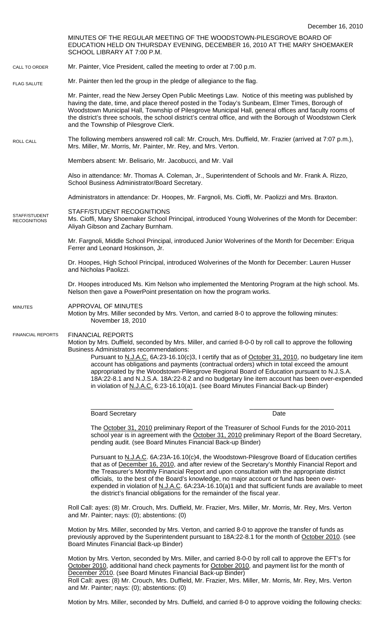MINUTES OF THE REGULAR MEETING OF THE WOODSTOWN-PILESGROVE BOARD OF EDUCATION HELD ON THURSDAY EVENING, DECEMBER 16, 2010 AT THE MARY SHOEMAKER SCHOOL LIBRARY AT 7:00 P.M. Mr. Painter, Vice President, called the meeting to order at 7:00 p.m. Mr. Painter then led the group in the pledge of allegiance to the flag. Mr. Painter, read the New Jersey Open Public Meetings Law. Notice of this meeting was published by having the date, time, and place thereof posted in the Today's Sunbeam, Elmer Times, Borough of Woodstown Municipal Hall, Township of Pilesgrove Municipal Hall, general offices and faculty rooms of the district's three schools, the school district's central office, and with the Borough of Woodstown Clerk and the Township of Pilesgrove Clerk. The following members answered roll call: Mr. Crouch, Mrs. Duffield, Mr. Frazier (arrived at 7:07 p.m.), Mrs. Miller, Mr. Morris, Mr. Painter, Mr. Rey, and Mrs. Verton. Members absent: Mr. Belisario, Mr. Jacobucci, and Mr. Vail Also in attendance: Mr. Thomas A. Coleman, Jr., Superintendent of Schools and Mr. Frank A. Rizzo, School Business Administrator/Board Secretary. Administrators in attendance: Dr. Hoopes, Mr. Fargnoli, Ms. Cioffi, Mr. Paolizzi and Mrs. Braxton. STAFF/STUDENT RECOGNITIONS Ms. Cioffi, Mary Shoemaker School Principal, introduced Young Wolverines of the Month for December: Aliyah Gibson and Zachary Burnham. Mr. Fargnoli, Middle School Principal, introduced Junior Wolverines of the Month for December: Eriqua Ferrer and Leonard Hoskinson, Jr. Dr. Hoopes, High School Principal, introduced Wolverines of the Month for December: Lauren Husser and Nicholas Paolizzi. Dr. Hoopes introduced Ms. Kim Nelson who implemented the Mentoring Program at the high school. Ms. Nelson then gave a PowerPoint presentation on how the program works. APPROVAL OF MINUTES Motion by Mrs. Miller seconded by Mrs. Verton, and carried 8-0 to approve the following minutes: November 18, 2010 FINANCIAL REPORTS Motion by Mrs. Duffield, seconded by Mrs. Miller, and carried 8-0-0 by roll call to approve the following Business Administrators recommendations: Pursuant to N.J.A.C. 6A:23-16.10(c)3, I certify that as of October 31, 2010, no budgetary line item account has obligations and payments (contractual orders) which in total exceed the amount appropriated by the Woodstown-Pilesgrove Regional Board of Education pursuant to N.J.S.A. 18A:22-8.1 and N.J.S.A. 18A:22-8.2 and no budgetary line item account has been over-expended in violation of N.J.A.C. 6:23-16.10(a)1. (see Board Minutes Financial Back-up Binder) \_\_\_\_\_\_\_\_\_\_\_\_\_\_\_\_\_\_\_\_\_\_\_\_\_\_\_\_\_ \_\_\_\_\_\_\_\_\_\_\_\_\_\_\_\_\_\_\_\_\_\_\_\_ Board Secretary **Date** The October 31, 2010 preliminary Report of the Treasurer of School Funds for the 2010-2011 school year is in agreement with the October 31, 2010 preliminary Report of the Board Secretary, pending audit. (see Board Minutes Financial Back-up Binder) Pursuant to N.J.A.C. 6A:23A-16.10(c)4, the Woodstown-Pilesgrove Board of Education certifies that as of December 16, 2010, and after review of the Secretary's Monthly Financial Report and the Treasurer's Monthly Financial Report and upon consultation with the appropriate district officials, to the best of the Board's knowledge, no major account or fund has been overexpended in violation of N.J.A.C. 6A:23A-16.10(a)1 and that sufficient funds are available to meet the district's financial obligations for the remainder of the fiscal year. Roll Call: ayes: (8) Mr. Crouch, Mrs. Duffield, Mr. Frazier, Mrs. Miller, Mr. Morris, Mr. Rey, Mrs. Verton and Mr. Painter; nays: (0); abstentions: (0) Motion by Mrs. Miller, seconded by Mrs. Verton, and carried 8-0 to approve the transfer of funds as previously approved by the Superintendent pursuant to 18A:22-8.1 for the month of October 2010. (see Board Minutes Financial Back-up Binder) Motion by Mrs. Verton, seconded by Mrs. Miller, and carried 8-0-0 by roll call to approve the EFT's for October 2010, additional hand check payments for October 2010, and payment list for the month of December 2010. (see Board Minutes Financial Back-up Binder) Roll Call: ayes: (8) Mr. Crouch, Mrs. Duffield, Mr. Frazier, Mrs. Miller, Mr. Morris, Mr. Rey, Mrs. Verton and Mr. Painter; nays: (0); abstentions: (0) CALL TO ORDER ROLL CALL FLAG SALUTE MINUTES FINANCIAL REPORTS STAFF/STUDENT **RECOGNITIONS** 

Motion by Mrs. Miller, seconded by Mrs. Duffield, and carried 8-0 to approve voiding the following checks: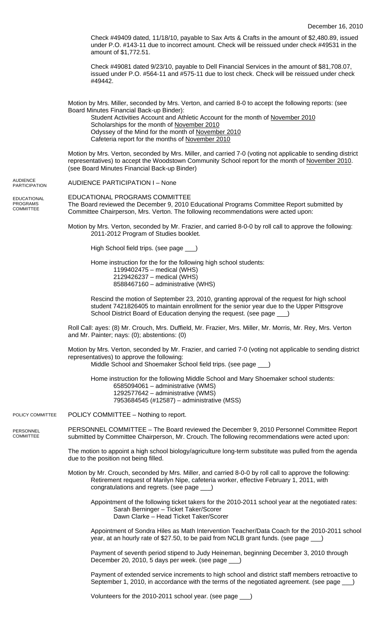Check #49409 dated, 11/18/10, payable to Sax Arts & Crafts in the amount of \$2,480.89, issued under P.O. #143-11 due to incorrect amount. Check will be reissued under check #49531 in the amount of \$1,772.51.

Check #49081 dated 9/23/10, payable to Dell Financial Services in the amount of \$81,708.07, issued under P.O. #564-11 and #575-11 due to lost check. Check will be reissued under check #49442.

Motion by Mrs. Miller, seconded by Mrs. Verton, and carried 8-0 to accept the following reports: (see Board Minutes Financial Back-up Binder):

Student Activities Account and Athletic Account for the month of November 2010 Scholarships for the month of November 2010 Odyssey of the Mind for the month of November 2010 Cafeteria report for the months of November 2010

Motion by Mrs. Verton, seconded by Mrs. Miller, and carried 7-0 (voting not applicable to sending district representatives) to accept the Woodstown Community School report for the month of November 2010. (see Board Minutes Financial Back-up Binder)

AUDIENCE PARTICIPATION I – None AUDIENCE **PARTICIPATION** 

EDUCATIONAL PROGRAMS COMMITTEE

EDUCATIONAL PROGRAMS COMMITTEE The Board reviewed the December 9, 2010 Educational Programs Committee Report submitted by Committee Chairperson, Mrs. Verton. The following recommendations were acted upon:

Motion by Mrs. Verton, seconded by Mr. Frazier, and carried 8-0-0 by roll call to approve the following: 2011-2012 Program of Studies booklet.

High School field trips. (see page \_\_\_)

Home instruction for the for the following high school students:

1199402475 – medical (WHS)

 2129426237 – medical (WHS) 8588467160 – administrative (WHS)

Rescind the motion of September 23, 2010, granting approval of the request for high school student 7421826405 to maintain enrollment for the senior year due to the Upper Pittsgrove School District Board of Education denying the request. (see page \_

Roll Call: ayes: (8) Mr. Crouch, Mrs. Duffield, Mr. Frazier, Mrs. Miller, Mr. Morris, Mr. Rey, Mrs. Verton and Mr. Painter; nays: (0); abstentions: (0)

Motion by Mrs. Verton, seconded by Mr. Frazier, and carried 7-0 (voting not applicable to sending district representatives) to approve the following:

Middle School and Shoemaker School field trips. (see page \_\_\_)

Home instruction for the following Middle School and Mary Shoemaker school students: 6585094061 – administrative (WMS) 1292577642 – administrative (WMS) 7953684545 (#12587) – administrative (MSS)

POLICY COMMITTEE – Nothing to report. POLICY COMMITTEE

PERSONNEL COMMITTEE – The Board reviewed the December 9, 2010 Personnel Committee Report submitted by Committee Chairperson, Mr. Crouch. The following recommendations were acted upon: PERSONNEL **COMMITTEE** 

> The motion to appoint a high school biology/agriculture long-term substitute was pulled from the agenda due to the position not being filled.

Motion by Mr. Crouch, seconded by Mrs. Miller, and carried 8-0-0 by roll call to approve the following: Retirement request of Marilyn Nipe, cafeteria worker, effective February 1, 2011, with congratulations and regrets. (see page \_\_\_)

Appointment of the following ticket takers for the 2010-2011 school year at the negotiated rates: Sarah Berninger – Ticket Taker/Scorer Dawn Clarke – Head Ticket Taker/Scorer

Appointment of Sondra Hiles as Math Intervention Teacher/Data Coach for the 2010-2011 school year, at an hourly rate of \$27.50, to be paid from NCLB grant funds. (see page \_\_\_)

Payment of seventh period stipend to Judy Heineman, beginning December 3, 2010 through December 20, 2010, 5 days per week. (see page

Payment of extended service increments to high school and district staff members retroactive to September 1, 2010, in accordance with the terms of the negotiated agreement. (see page \_

Volunteers for the 2010-2011 school year. (see page \_\_\_)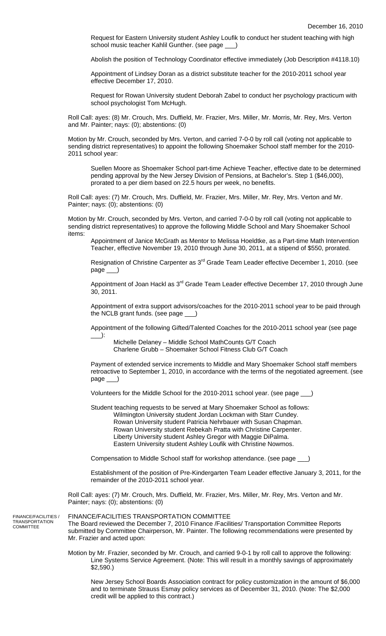Request for Eastern University student Ashley Loufik to conduct her student teaching with high school music teacher Kahlil Gunther. (see page \_\_\_)

Abolish the position of Technology Coordinator effective immediately (Job Description #4118.10)

Appointment of Lindsey Doran as a district substitute teacher for the 2010-2011 school year effective December 17, 2010.

Request for Rowan University student Deborah Zabel to conduct her psychology practicum with school psychologist Tom McHugh.

Roll Call: ayes: (8) Mr. Crouch, Mrs. Duffield, Mr. Frazier, Mrs. Miller, Mr. Morris, Mr. Rey, Mrs. Verton and Mr. Painter; nays: (0); abstentions: (0)

Motion by Mr. Crouch, seconded by Mrs. Verton, and carried 7-0-0 by roll call (voting not applicable to sending district representatives) to appoint the following Shoemaker School staff member for the 2010- 2011 school year:

Suellen Moore as Shoemaker School part-time Achieve Teacher, effective date to be determined pending approval by the New Jersey Division of Pensions, at Bachelor's. Step 1 (\$46,000), prorated to a per diem based on 22.5 hours per week, no benefits.

Roll Call: ayes: (7) Mr. Crouch, Mrs. Duffield, Mr. Frazier, Mrs. Miller, Mr. Rey, Mrs. Verton and Mr. Painter; nays: (0); abstentions: (0)

Motion by Mr. Crouch, seconded by Mrs. Verton, and carried 7-0-0 by roll call (voting not applicable to sending district representatives) to approve the following Middle School and Mary Shoemaker School items:

Appointment of Janice McGrath as Mentor to Melissa Hoeldtke, as a Part-time Math Intervention Teacher, effective November 19, 2010 through June 30, 2011, at a stipend of \$550, prorated.

Resignation of Christine Carpenter as 3<sup>rd</sup> Grade Team Leader effective December 1, 2010. (see page

Appointment of Joan Hackl as 3<sup>rd</sup> Grade Team Leader effective December 17, 2010 through June 30, 2011.

Appointment of extra support advisors/coaches for the 2010-2011 school year to be paid through the NCLB grant funds. (see page \_

Appointment of the following Gifted/Talented Coaches for the 2010-2011 school year (see page \_\_\_):

 Michelle Delaney – Middle School MathCounts G/T Coach Charlene Grubb – Shoemaker School Fitness Club G/T Coach

Payment of extended service increments to Middle and Mary Shoemaker School staff members retroactive to September 1, 2010, in accordance with the terms of the negotiated agreement. (see page

Volunteers for the Middle School for the 2010-2011 school year. (see page \_\_\_)

Student teaching requests to be served at Mary Shoemaker School as follows: Wilmington University student Jordan Lockman with Starr Cundey. Rowan University student Patricia Nehrbauer with Susan Chapman. Rowan University student Rebekah Pratta with Christine Carpenter. Liberty University student Ashley Gregor with Maggie DiPalma. Eastern University student Ashley Loufik with Christine Nowmos.

Compensation to Middle School staff for workshop attendance. (see page \_\_\_)

Establishment of the position of Pre-Kindergarten Team Leader effective January 3, 2011, for the remainder of the 2010-2011 school year.

Roll Call: ayes: (7) Mr. Crouch, Mrs. Duffield, Mr. Frazier, Mrs. Miller, Mr. Rey, Mrs. Verton and Mr. Painter; nays: (0); abstentions: (0)

FINANCE/FACILITIES / TRANSPORTATION **COMMITTEE** 

FINANCE/FACILITIES TRANSPORTATION COMMITTEE The Board reviewed the December 7, 2010 Finance /Facilities/ Transportation Committee Reports submitted by Committee Chairperson, Mr. Painter. The following recommendations were presented by Mr. Frazier and acted upon:

Motion by Mr. Frazier, seconded by Mr. Crouch, and carried 9-0-1 by roll call to approve the following: Line Systems Service Agreement. (Note: This will result in a monthly savings of approximately \$2,590.)

New Jersey School Boards Association contract for policy customization in the amount of \$6,000 and to terminate Strauss Esmay policy services as of December 31, 2010. (Note: The \$2,000 credit will be applied to this contract.)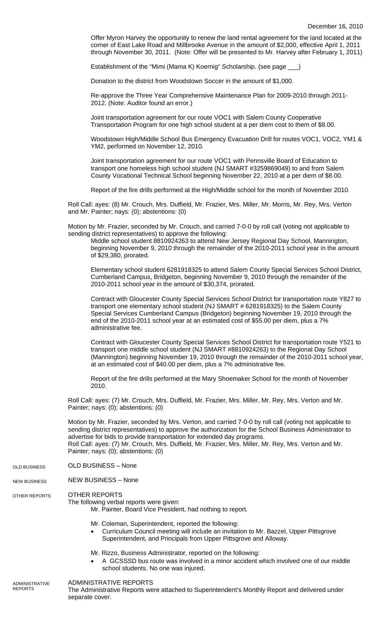Offer Myron Harvey the opportunity to renew the land rental agreement for the land located at the corner of East Lake Road and Millbrooke Avenue in the amount of \$2,000, effective April 1, 2011 through November 30, 2011. (Note: Offer will be presented to Mr. Harvey after February 1, 2011)

Establishment of the "Mimi (Mama K) Koernig" Scholarship. (see page \_\_\_)

Donation to the district from Woodstown Soccer in the amount of \$1,000.

Re-approve the Three Year Comprehensive Maintenance Plan for 2009-2010 through 2011- 2012. (Note: Auditor found an error.)

Joint transportation agreement for our route VOC1 with Salem County Cooperative Transportation Program for one high school student at a per diem cost to them of \$8.00.

Woodstown High/Middle School Bus Emergency Evacuation Drill for routes VOC1, VOC2, YM1 & YM2, performed on November 12, 2010.

Joint transportation agreement for our route VOC1 with Pennsville Board of Education to transport one homeless high school student (NJ SMART #3259869049) to and from Salem County Vocational Technical School beginning November 22, 2010 at a per diem of \$8.00.

Report of the fire drills performed at the High/Middle school for the month of November 2010.

Roll Call: ayes: (8) Mr. Crouch, Mrs. Duffield, Mr. Frazier, Mrs. Miller, Mr. Morris, Mr. Rey, Mrs. Verton and Mr. Painter; nays: (0); abstentions: (0)

Motion by Mr. Frazier, seconded by Mr. Crouch, and carried 7-0-0 by roll call (voting not applicable to sending district representatives) to approve the following:

Middle school student 8810924263 to attend New Jersey Regional Day School, Mannington, beginning November 9, 2010 through the remainder of the 2010-2011 school year in the amount of \$29,380, prorated.

Elementary school student 6281918325 to attend Salem County Special Services School District, Cumberland Campus, Bridgeton, beginning November 9, 2010 through the remainder of the 2010-2011 school year in the amount of \$30,374, prorated.

Contract with Gloucester County Special Services School District for transportation route Y827 to transport one elementary school student (NJ SMART # 6281918325) to the Salem County Special Services Cumberland Campus (Bridgeton) beginning November 19, 2010 through the end of the 2010-2011 school year at an estimated cost of \$55.00 per diem, plus a 7% administrative fee.

Contract with Gloucester County Special Services School District for transportation route Y521 to transport one middle school student (NJ SMART #8810924263) to the Regional Day School (Mannington) beginning November 19, 2010 through the remainder of the 2010-2011 school year, at an estimated cost of \$40.00 per diem, plus a 7% administrative fee.

Report of the fire drills performed at the Mary Shoemaker School for the month of November 2010.

Roll Call: ayes: (7) Mr. Crouch, Mrs. Duffield, Mr. Frazier, Mrs. Miller, Mr. Rey, Mrs. Verton and Mr. Painter; nays: (0); abstentions: (0)

Motion by Mr. Frazier, seconded by Mrs. Verton, and carried 7-0-0 by roll call (voting not applicable to sending district representatives) to approve the authorization for the School Business Administrator to advertise for bids to provide transportation for extended day programs. Roll Call: ayes: (7) Mr. Crouch, Mrs. Duffield, Mr. Frazier, Mrs. Miller, Mr. Rey, Mrs. Verton and Mr. Painter; nays: (0); abstentions: (0)

- OLD BUSINESS None OLD BUSINESS
- NEW BUSINESS None NEW BUSINESS

OTHER REPORTS OTHER REPORTS

The following verbal reports were given:

Mr. Painter, Board Vice President, had nothing to report.

- Mr. Coleman, Superintendent, reported the following:
- Curriculum Council meeting will include an invitation to Mr. Bazzel, Upper Pittsgrove Superintendent, and Principals from Upper Pittsgrove and Alloway.
- Mr. Rizzo, Business Administrator, reported on the following:
- A GCSSSD bus route was involved in a minor accident which involved one of our middle school students. No one was injured.

ADMINISTRATIVE REPORTS The Administrative Reports were attached to Superintendent's Monthly Report and delivered under separate cover. ADMINISTRATIVE REPORTS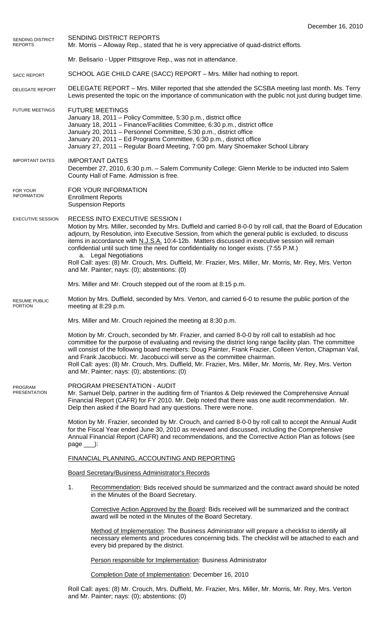| SENDING DISTRICT<br><b>REPORTS</b>     | SENDING DISTRICT REPORTS<br>Mr. Morris – Alloway Rep., stated that he is very appreciative of quad-district efforts.                                                                                                                                                                                                                                                                                                                                                                                                                                                                                                                         |
|----------------------------------------|----------------------------------------------------------------------------------------------------------------------------------------------------------------------------------------------------------------------------------------------------------------------------------------------------------------------------------------------------------------------------------------------------------------------------------------------------------------------------------------------------------------------------------------------------------------------------------------------------------------------------------------------|
|                                        | Mr. Belisario - Upper Pittsgrove Rep., was not in attendance.                                                                                                                                                                                                                                                                                                                                                                                                                                                                                                                                                                                |
| <b>SACC REPORT</b>                     | SCHOOL AGE CHILD CARE (SACC) REPORT - Mrs. Miller had nothing to report.                                                                                                                                                                                                                                                                                                                                                                                                                                                                                                                                                                     |
| <b>DELEGATE REPORT</b>                 | DELEGATE REPORT - Mrs. Miller reported that she attended the SCSBA meeting last month. Ms. Terry<br>Lewis presented the topic on the importance of communication with the public not just during budget time.                                                                                                                                                                                                                                                                                                                                                                                                                                |
| <b>FUTURE MEETINGS</b>                 | <b>FUTURE MEETINGS</b><br>January 18, 2011 - Policy Committee, 5:30 p.m., district office<br>January 18, 2011 - Finance/Facilities Committee, 6:30 p.m., district office<br>January 20, 2011 - Personnel Committee, 5:30 p.m., district office<br>January 20, 2011 - Ed Programs Committee, 6:30 p.m., district office<br>January 27, 2011 - Regular Board Meeting, 7:00 pm. Mary Shoemaker School Library                                                                                                                                                                                                                                   |
| <b>IMPORTANT DATES</b>                 | <b>IMPORTANT DATES</b><br>December 27, 2010, 6:30 p.m. - Salem Community College: Glenn Merkle to be inducted into Salem<br>County Hall of Fame. Admission is free.                                                                                                                                                                                                                                                                                                                                                                                                                                                                          |
| FOR YOUR<br><b>INFORMATION</b>         | FOR YOUR INFORMATION<br><b>Enrollment Reports</b><br><b>Suspension Reports</b>                                                                                                                                                                                                                                                                                                                                                                                                                                                                                                                                                               |
| <b>EXECUTIVE SESSION</b>               | RECESS INTO EXECUTIVE SESSION I<br>Motion by Mrs. Miller, seconded by Mrs. Duffield and carried 8-0-0 by roll call, that the Board of Education<br>adjourn, by Resolution, into Executive Session, from which the general public is excluded, to discuss<br>items in accordance with N.J.S.A. 10:4-12b. Matters discussed in executive session will remain<br>confidential until such time the need for confidentiality no longer exists. (7:55 P.M.)<br>a. Legal Negotiations<br>Roll Call: ayes: (8) Mr. Crouch, Mrs. Duffield, Mr. Frazier, Mrs. Miller, Mr. Morris, Mr. Rey, Mrs. Verton<br>and Mr. Painter; nays: (0); abstentions: (0) |
|                                        | Mrs. Miller and Mr. Crouch stepped out of the room at 8:15 p.m.                                                                                                                                                                                                                                                                                                                                                                                                                                                                                                                                                                              |
| <b>RESUME PUBLIC</b><br><b>PORTION</b> | Motion by Mrs. Duffield, seconded by Mrs. Verton, and carried 6-0 to resume the public portion of the<br>meeting at 8:29 p.m.                                                                                                                                                                                                                                                                                                                                                                                                                                                                                                                |
|                                        | Mrs. Miller and Mr. Crouch rejoined the meeting at 8:30 p.m.                                                                                                                                                                                                                                                                                                                                                                                                                                                                                                                                                                                 |
|                                        | Motion by Mr. Crouch, seconded by Mr. Frazier, and carried 8-0-0 by roll call to establish ad hoc<br>committee for the purpose of evaluating and revising the district long range facility plan. The committee<br>will consist of the following board members: Doug Painter, Frank Frazier, Colleen Verton, Chapman Vail,<br>and Frank Jacobucci. Mr. Jacobucci will serve as the committee chairman.<br>Roll Call: ayes: (8) Mr. Crouch, Mrs. Duffield, Mr. Frazier, Mrs. Miller, Mr. Morris, Mr. Rey, Mrs. Verton<br>and Mr. Painter; nays: (0); abstentions: (0)                                                                          |
| <b>PROGRAM</b><br><b>PRESENTATION</b>  | PROGRAM PRESENTATION - AUDIT<br>Mr. Samuel Delp, partner in the auditing firm of Triantos & Delp reviewed the Comprehensive Annual<br>Financial Report (CAFR) for FY 2010. Mr. Delp noted that there was one audit recommendation. Mr.<br>Delp then asked if the Board had any questions. There were none.                                                                                                                                                                                                                                                                                                                                   |
|                                        | Motion by Mr. Frazier, seconded by Mr. Crouch, and carried 8-0-0 by roll call to accept the Annual Audit<br>for the Fiscal Year ended June 30, 2010 as reviewed and discussed, including the Comprehensive<br>Annual Financial Report (CAFR) and recommendations, and the Corrective Action Plan as follows (see<br>$page$ :                                                                                                                                                                                                                                                                                                                 |
|                                        | FINANCIAL PLANNING, ACCOUNTING AND REPORTING                                                                                                                                                                                                                                                                                                                                                                                                                                                                                                                                                                                                 |
|                                        | <b>Board Secretary/Business Administrator's Records</b>                                                                                                                                                                                                                                                                                                                                                                                                                                                                                                                                                                                      |
|                                        | 1.<br>Recommendation: Bids received should be summarized and the contract award should be noted<br>in the Minutes of the Board Secretary.                                                                                                                                                                                                                                                                                                                                                                                                                                                                                                    |
|                                        | Corrective Action Approved by the Board: Bids received will be summarized and the contract<br>award will be noted in the Minutes of the Board Secretary.                                                                                                                                                                                                                                                                                                                                                                                                                                                                                     |
|                                        | Method of Implementation: The Business Administrator will prepare a checklist to identify all<br>necessary elements and procedures concerning bids. The checklist will be attached to each and<br>every bid prepared by the district.                                                                                                                                                                                                                                                                                                                                                                                                        |
|                                        | Person responsible for Implementation: Business Administrator                                                                                                                                                                                                                                                                                                                                                                                                                                                                                                                                                                                |
|                                        | Completion Date of Implementation: December 16, 2010                                                                                                                                                                                                                                                                                                                                                                                                                                                                                                                                                                                         |

Roll Call: ayes: (8) Mr. Crouch, Mrs. Duffield, Mr. Frazier, Mrs. Miller, Mr. Morris, Mr. Rey, Mrs. Verton and Mr. Painter; nays: (0); abstentions: (0)